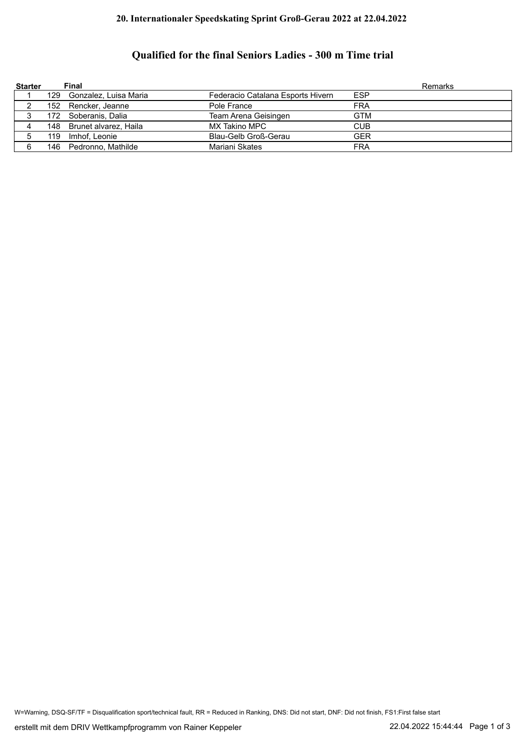## **20. Internationaler Speedskating Sprint Groß-Gerau 2022 at 22.04.2022**

## **Qualified for the final Seniors Ladies - 300 m Time trial**

| <b>Starter</b> |      | Final                     |                                   | Remarks    |
|----------------|------|---------------------------|-----------------------------------|------------|
|                |      | 129 Gonzalez, Luisa Maria | Federacio Catalana Esports Hivern | <b>ESP</b> |
|                |      | 152 Rencker, Jeanne       | Pole France                       | <b>FRA</b> |
|                | 172. | Soberanis. Dalia          | Team Arena Geisingen              | <b>GTM</b> |
|                |      | 148 Brunet alvarez, Haila | MX Takino MPC                     | <b>CUB</b> |
| 5              | 119  | Imhof, Leonie             | Blau-Gelb Groß-Gerau              | <b>GER</b> |
|                |      | 146 Pedronno, Mathilde    | Mariani Skates                    | FRA        |

W=Warning, DSQ-SF/TF = Disqualification sport/technical fault, RR = Reduced in Ranking, DNS: Did not start, DNF: Did not finish, FS1:First false start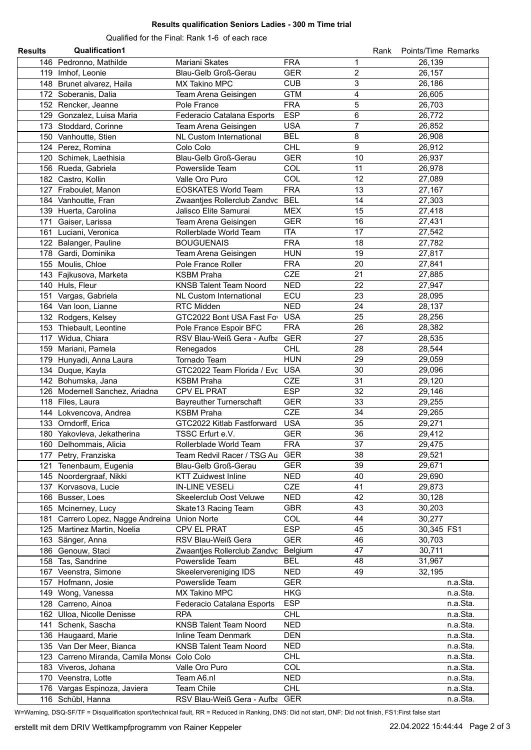## **Results qualification Seniors Ladies - 300 m Time trial**

Qualified for the Final: Rank 1-6 of each race

| <b>Results</b> | <b>Qualification1</b>                         |                                              |                              | Rank | Points/Time Remarks |
|----------------|-----------------------------------------------|----------------------------------------------|------------------------------|------|---------------------|
|                | 146 Pedronno, Mathilde                        | Mariani Skates                               | <b>FRA</b><br>1              |      | 26,139              |
|                | 119 Imhof, Leonie                             | Blau-Gelb Groß-Gerau                         | $\overline{c}$<br><b>GER</b> |      | 26,157              |
|                | 148 Brunet alvarez, Haila                     | MX Takino MPC                                | 3<br><b>CUB</b>              |      | 26,186              |
|                | 172 Soberanis, Dalia                          | Team Arena Geisingen                         | 4<br><b>GTM</b>              |      | 26,605              |
|                | 152 Rencker, Jeanne                           | Pole France                                  | 5<br><b>FRA</b>              |      | 26,703              |
|                | 129 Gonzalez, Luisa Maria                     | Federacio Catalana Esports                   | <b>ESP</b><br>6              |      | 26,772              |
|                | 173 Stoddard, Corinne                         | Team Arena Geisingen                         | $\overline{7}$<br><b>USA</b> |      | 26,852              |
|                | 150 Vanhoutte, Stien                          | NL Custom International                      | <b>BEL</b><br>8              |      | 26,908              |
|                | 124 Perez, Romina                             | Colo Colo                                    | 9<br><b>CHL</b>              |      | 26,912              |
|                | 120 Schimek, Laethisia                        | Blau-Gelb Groß-Gerau                         | <b>GER</b><br>10             |      | 26,937              |
|                | 156 Rueda, Gabriela                           | Powerslide Team                              | COL<br>11                    |      | 26,978              |
|                | 182 Castro, Kollin                            | Valle Oro Puro                               | COL<br>12                    |      | 27,089              |
|                | 127 Fraboulet, Manon                          | <b>EOSKATES World Team</b>                   | <b>FRA</b><br>13             |      | 27,167              |
|                | 184 Vanhoutte, Fran                           | Zwaantjes Rollerclub Zandvc                  | <b>BEL</b><br>14             |      | 27,303              |
|                | 139 Huerta, Carolina                          | Jalisco Elite Samurai                        | 15<br><b>MEX</b>             |      | 27,418              |
|                | 171 Gaiser, Larissa                           | Team Arena Geisingen                         | <b>GER</b><br>16             |      | 27,431              |
|                | 161 Luciani, Veronica                         | Rollerblade World Team                       | <b>ITA</b><br>17             |      | 27,542              |
|                | 122 Balanger, Pauline                         | <b>BOUGUENAIS</b>                            | <b>FRA</b><br>18             |      | 27,782              |
|                | 178 Gardi, Dominika                           | Team Arena Geisingen                         | <b>HUN</b><br>19             |      | 27,817              |
|                | 155 Moulis, Chloe                             | Pole France Roller                           | <b>FRA</b><br>20             |      | 27,841              |
|                | 143 Fajkusova, Marketa                        | <b>KSBM Praha</b>                            | CZE<br>21                    |      | 27,885              |
|                | 140 Huls, Fleur                               |                                              | <b>NED</b><br>22             |      | 27,947              |
|                |                                               | <b>KNSB Talent Team Noord</b>                | ECU<br>23                    |      |                     |
|                | 151 Vargas, Gabriela                          | <b>NL Custom International</b><br>RTC Midden |                              |      | 28,095              |
|                | 164 Van Ioon, Lianne                          |                                              | <b>NED</b><br>24             |      | 28,137              |
|                | 132 Rodgers, Kelsey                           | GTC2022 Bont USA Fast Fo                     | <b>USA</b><br>25             |      | 28,256              |
|                | 153 Thiebault, Leontine                       | Pole France Espoir BFC                       | <b>FRA</b><br>26             |      | 28,382              |
|                | 117 Widua, Chiara                             | RSV Blau-Weiß Gera - Aufba                   | <b>GER</b><br>27             |      | 28,535              |
|                | 159 Mariani, Pamela                           | Renegados                                    | <b>CHL</b><br>28             |      | 28,544              |
|                | 179 Hunyadi, Anna Laura                       | Tornado Team                                 | <b>HUN</b><br>29             |      | 29,059              |
|                | 134 Duque, Kayla                              | GTC2022 Team Florida / Evc USA               | 30                           |      | 29,096              |
|                | 142 Bohumska, Jana                            | <b>KSBM Praha</b>                            | <b>CZE</b><br>31             |      | 29,120              |
|                | 126 Modernell Sanchez, Ariadna                | CPV EL PRAT                                  | <b>ESP</b><br>32             |      | 29,146              |
|                | 118 Files, Laura                              | <b>Bayreuther Turnerschaft</b>               | <b>GER</b><br>33             |      | 29,255              |
|                | 144 Lokvencova, Andrea                        | <b>KSBM Praha</b>                            | <b>CZE</b><br>34             |      | 29,265              |
|                | 133 Orndorff, Erica                           | GTC2022 Kitlab Fastforward                   | <b>USA</b>                   | 35   | 29,271              |
|                | 180 Yakovleva, Jekatherina                    | TSSC Erfurt e.V.                             | <b>GER</b><br>36             |      | 29,412              |
|                | 160 Delhommais, Alicia                        | Rollerblade World Team                       | <b>FRA</b>                   | 37   | 29,475              |
|                | 177 Petry, Franziska                          | Team Redvil Racer / TSG Au GER               |                              | 38   | 29,521              |
|                | 121 Tenenbaum, Eugenia                        | Blau-Gelb Groß-Gerau                         | GER                          | 39   | 29,671              |
|                | 145 Noordergraaf, Nikki                       | <b>KTT Zuidwest Inline</b>                   | <b>NED</b><br>40             |      | 29,690              |
|                | 137 Korvasova, Lucie                          | <b>IN-LINE VESELi</b>                        | <b>CZE</b><br>41             |      | 29,873              |
|                | 166 Busser, Loes                              | Skeelerclub Oost Veluwe                      | 42<br>NED                    |      | 30,128              |
|                | 165 Mcinerney, Lucy                           | Skate13 Racing Team                          | <b>GBR</b>                   | 43   | 30,203              |
|                | 181 Carrero Lopez, Nagge Andreina Union Norte |                                              | COL<br>44                    |      | 30,277              |
|                | 125 Martinez Martin, Noelia                   | CPV EL PRAT                                  | <b>ESP</b>                   | 45   | 30,345 FS1          |
|                | 163 Sänger, Anna                              | RSV Blau-Weiß Gera                           | <b>GER</b><br>46             |      | 30,703              |
|                | 186 Genouw, Staci                             | Zwaantjes Rollerclub Zandvc                  | 47<br>Belgium                |      | 30,711              |
|                | 158 Tas, Sandrine                             | Powerslide Team                              | <b>BEL</b>                   | 48   | 31,967              |
|                | 167 Veenstra, Simone                          | Skeelervereniging IDS                        | NED                          | 49   | 32,195              |
|                | 157 Hofmann, Josie                            | Powerslide Team                              | <b>GER</b>                   |      | n.a.Sta.            |
|                | 149 Wong, Vanessa                             | MX Takino MPC                                | <b>HKG</b>                   |      | n.a.Sta.            |
|                | 128 Carreno, Ainoa                            | Federacio Catalana Esports                   | <b>ESP</b>                   |      | n.a.Sta.            |
|                | 162 Ulloa, Nicolle Denisse                    | <b>RPA</b>                                   | <b>CHL</b>                   |      | n.a.Sta.            |
|                | 141 Schenk, Sascha                            | <b>KNSB Talent Team Noord</b>                | <b>NED</b>                   |      | n.a.Sta.            |
|                | 136 Haugaard, Marie                           | Inline Team Denmark                          | <b>DEN</b>                   |      | n.a.Sta.            |
|                | 135 Van Der Meer, Bianca                      | <b>KNSB Talent Team Noord</b>                | <b>NED</b>                   |      | n.a.Sta.            |
|                | 123 Carreno Miranda, Camila Monse Colo Colo   |                                              | <b>CHL</b>                   |      | n.a.Sta.            |
|                | 183 Viveros, Johana                           | Valle Oro Puro                               | COL                          |      | n.a.Sta.            |
|                | 170 Veenstra, Lotte                           | Team A6.nl                                   | <b>NED</b>                   |      | n.a.Sta.            |
|                | 176 Vargas Espinoza, Javiera                  | Team Chile                                   | <b>CHL</b>                   |      | n.a.Sta.            |
|                | 116 Schübl, Hanna                             | RSV Blau-Weiß Gera - Aufba GER               |                              |      | n.a.Sta.            |

W=Warning, DSQ-SF/TF = Disqualification sport/technical fault, RR = Reduced in Ranking, DNS: Did not start, DNF: Did not finish, FS1:First false start